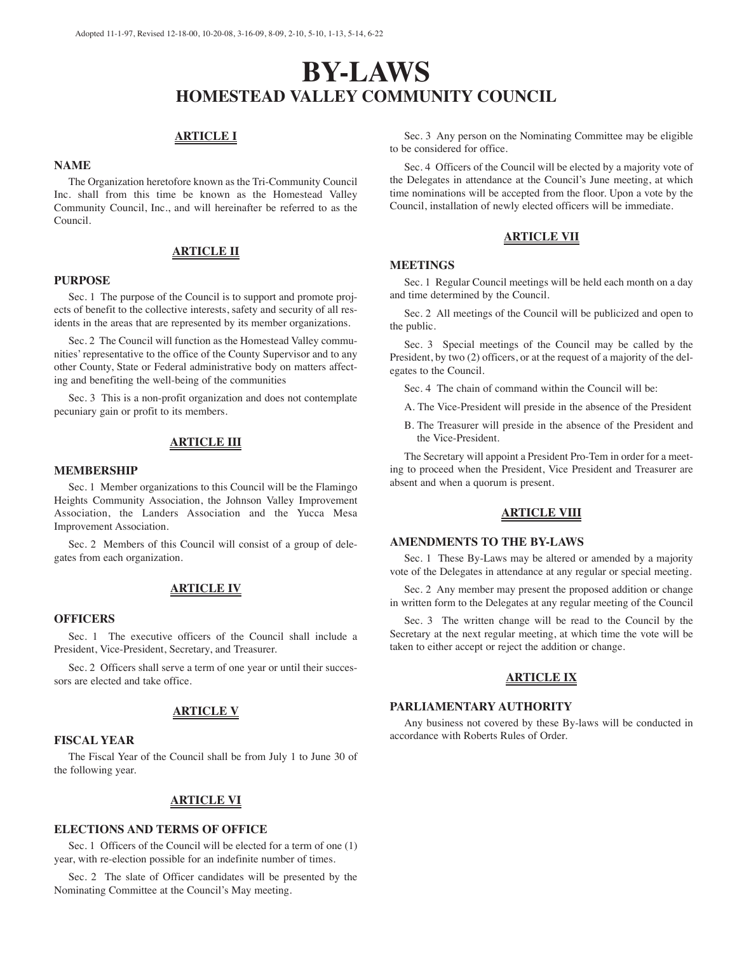# **BY-LAWS HOMESTEAD VALLEY COMMUNITY COUNCIL**

## **ARTICLE I**

## **NAME**

The Organization heretofore known as the Tri-Community Council Inc. shall from this time be known as the Homestead Valley Community Council, Inc., and will hereinafter be referred to as the Council.

## **ARTICLE II**

#### **PURPOSE**

Sec. 1 The purpose of the Council is to support and promote projects of benefit to the collective interests, safety and security of all residents in the areas that are represented by its member organizations.

Sec. 2 The Council will function as the Homestead Valley communities' representative to the office of the County Supervisor and to any other County, State or Federal administrative body on matters affecting and benefiting the well-being of the communities

Sec. 3 This is a non-profit organization and does not contemplate pecuniary gain or profit to its members.

## **ARTICLE III**

#### **MEMBERSHIP**

Sec. 1 Member organizations to this Council will be the Flamingo Heights Community Association, the Johnson Valley Improvement Association, the Landers Association and the Yucca Mesa Improvement Association.

Sec. 2 Members of this Council will consist of a group of delegates from each organization.

## **ARTICLE IV**

#### **OFFICERS**

Sec. 1 The executive officers of the Council shall include a President, Vice-President, Secretary, and Treasurer.

Sec. 2 Officers shall serve a term of one year or until their successors are elected and take office.

#### **ARTICLE V**

#### **FISCAL YEAR**

The Fiscal Year of the Council shall be from July 1 to June 30 of the following year.

## **ARTICLE VI**

## **ELECTIONS AND TERMS OF OFFICE**

Sec. 1 Officers of the Council will be elected for a term of one  $(1)$ year, with re-election possible for an indefinite number of times.

Sec. 2 The slate of Officer candidates will be presented by the Nominating Committee at the Council's May meeting.

Sec. 3 Any person on the Nominating Committee may be eligible to be considered for office.

Sec. 4 Officers of the Council will be elected by a majority vote of the Delegates in attendance at the Council's June meeting, at which time nominations will be accepted from the floor. Upon a vote by the Council, installation of newly elected officers will be immediate.

## **ARTICLE VII**

#### **MEETINGS**

Sec. 1 Regular Council meetings will be held each month on a day and time determined by the Council.

Sec. 2 All meetings of the Council will be publicized and open to the public.

Sec. 3 Special meetings of the Council may be called by the President, by two (2) officers, or at the request of a majority of the delegates to the Council.

Sec. 4 The chain of command within the Council will be:

A. The Vice-President will preside in the absence of the President

B. The Treasurer will preside in the absence of the President and the Vice-President.

The Secretary will appoint a President Pro-Tem in order for a meeting to proceed when the President, Vice President and Treasurer are absent and when a quorum is present.

## **ARTICLE VIII**

## **AMENDMENTS TO THE BY-LAWS**

Sec. 1 These By-Laws may be altered or amended by a majority vote of the Delegates in attendance at any regular or special meeting.

Sec. 2 Any member may present the proposed addition or change in written form to the Delegates at any regular meeting of the Council

Sec. 3 The written change will be read to the Council by the Secretary at the next regular meeting, at which time the vote will be taken to either accept or reject the addition or change.

#### **ARTICLE IX**

#### **PARLIAMENTARY AUTHORITY**

Any business not covered by these By-laws will be conducted in accordance with Roberts Rules of Order.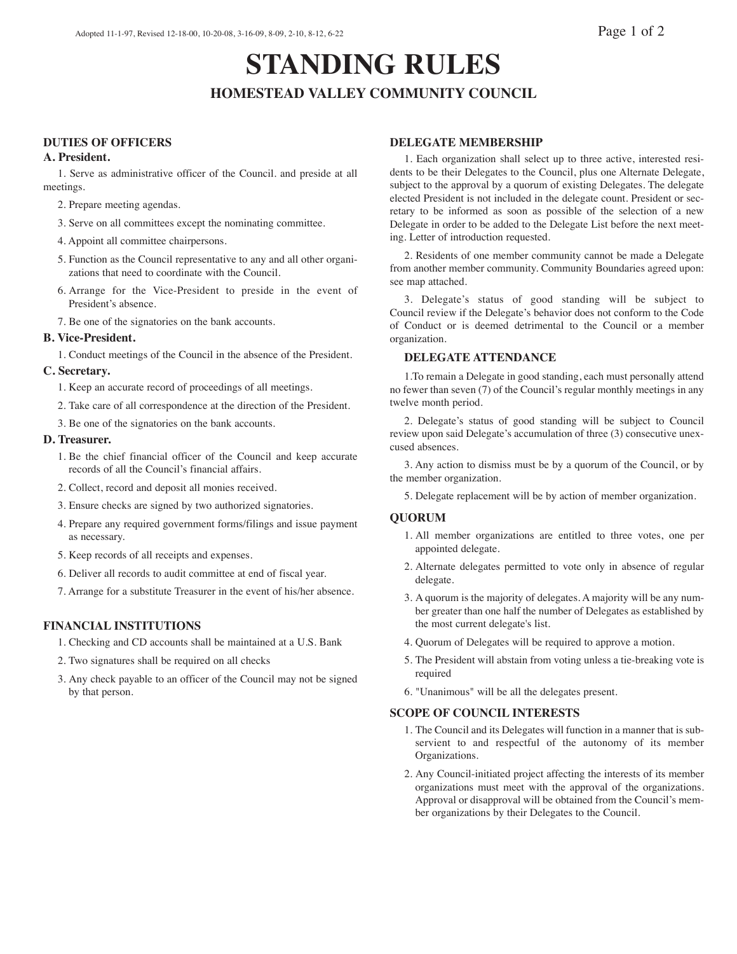# **STANDING RULES HOMESTEAD VALLEY COMMUNITY COUNCIL**

# **DUTIES OF OFFICERS**

## **A. President.**

1. Serve as administrative officer of the Council. and preside at all meetings.

- 2. Prepare meeting agendas.
- 3. Serve on all committees except the nominating committee.
- 4. Appoint all committee chairpersons.
- 5. Function as the Council representative to any and all other organizations that need to coordinate with the Council.
- 6. Arrange for the Vice-President to preside in the event of President's absence.
- 7. Be one of the signatories on the bank accounts.

## **B. Vice-President.**

1. Conduct meetings of the Council in the absence of the President.

## **C. Secretary.**

- 1. Keep an accurate record of proceedings of all meetings.
- 2. Take care of all correspondence at the direction of the President.
- 3. Be one of the signatories on the bank accounts.

## **D. Treasurer.**

- 1. Be the chief financial officer of the Council and keep accurate records of all the Council's financial affairs.
- 2. Collect, record and deposit all monies received.
- 3. Ensure checks are signed by two authorized signatories.
- 4. Prepare any required government forms/filings and issue payment as necessary.
- 5. Keep records of all receipts and expenses.
- 6. Deliver all records to audit committee at end of fiscal year.
- 7. Arrange for a substitute Treasurer in the event of his/her absence.

# **FINANCIAL INSTITUTIONS**

- 1. Checking and CD accounts shall be maintained at a U.S. Bank
- 2. Two signatures shall be required on all checks
- 3. Any check payable to an officer of the Council may not be signed by that person.

## **DELEGATE MEMBERSHIP**

1. Each organization shall select up to three active, interested residents to be their Delegates to the Council, plus one Alternate Delegate, subject to the approval by a quorum of existing Delegates. The delegate elected President is not included in the delegate count. President or secretary to be informed as soon as possible of the selection of a new Delegate in order to be added to the Delegate List before the next meeting. Letter of introduction requested.

2. Residents of one member community cannot be made a Delegate from another member community. Community Boundaries agreed upon: see map attached.

3. Delegate's status of good standing will be subject to Council review if the Delegate's behavior does not conform to the Code of Conduct or is deemed detrimental to the Council or a member organization.

## **DELEGATE ATTENDANCE**

1.To remain a Delegate in good standing, each must personally attend no fewer than seven (7) of the Council's regular monthly meetings in any twelve month period.

2. Delegate's status of good standing will be subject to Council review upon said Delegate's accumulation of three (3) consecutive unexcused absences.

3. Any action to dismiss must be by a quorum of the Council, or by the member organization.

5. Delegate replacement will be by action of member organization.

## **QUORUM**

- 1. All member organizations are entitled to three votes, one per appointed delegate.
- 2. Alternate delegates permitted to vote only in absence of regular delegate.
- 3. A quorum is the majority of delegates. A majority will be any number greater than one half the number of Delegates as established by the most current delegate's list.
- 4. Quorum of Delegates will be required to approve a motion.
- 5. The President will abstain from voting unless a tie-breaking vote is required
- 6. "Unanimous" will be all the delegates present.

## **SCOPE OF COUNCIL INTERESTS**

- 1. The Council and its Delegates will function in a manner that is subservient to and respectful of the autonomy of its member Organizations.
- 2. Any Council-initiated project affecting the interests of its member organizations must meet with the approval of the organizations. Approval or disapproval will be obtained from the Council's member organizations by their Delegates to the Council.